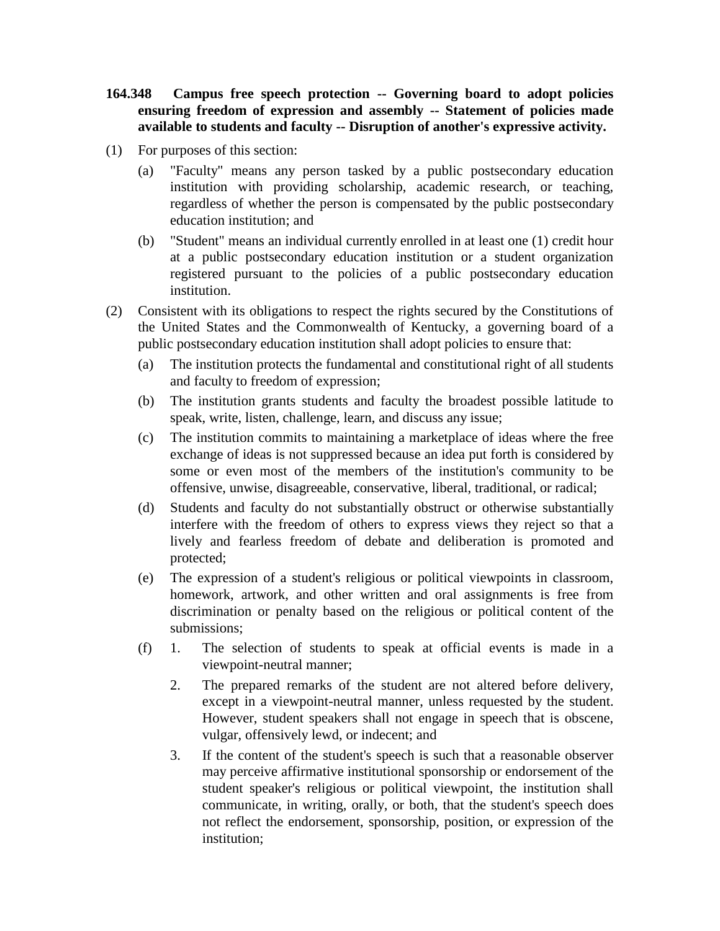- **164.348 Campus free speech protection -- Governing board to adopt policies ensuring freedom of expression and assembly -- Statement of policies made available to students and faculty -- Disruption of another's expressive activity.**
- (1) For purposes of this section:
	- (a) "Faculty" means any person tasked by a public postsecondary education institution with providing scholarship, academic research, or teaching, regardless of whether the person is compensated by the public postsecondary education institution; and
	- (b) "Student" means an individual currently enrolled in at least one (1) credit hour at a public postsecondary education institution or a student organization registered pursuant to the policies of a public postsecondary education institution.
- (2) Consistent with its obligations to respect the rights secured by the Constitutions of the United States and the Commonwealth of Kentucky, a governing board of a public postsecondary education institution shall adopt policies to ensure that:
	- (a) The institution protects the fundamental and constitutional right of all students and faculty to freedom of expression;
	- (b) The institution grants students and faculty the broadest possible latitude to speak, write, listen, challenge, learn, and discuss any issue;
	- (c) The institution commits to maintaining a marketplace of ideas where the free exchange of ideas is not suppressed because an idea put forth is considered by some or even most of the members of the institution's community to be offensive, unwise, disagreeable, conservative, liberal, traditional, or radical;
	- (d) Students and faculty do not substantially obstruct or otherwise substantially interfere with the freedom of others to express views they reject so that a lively and fearless freedom of debate and deliberation is promoted and protected;
	- (e) The expression of a student's religious or political viewpoints in classroom, homework, artwork, and other written and oral assignments is free from discrimination or penalty based on the religious or political content of the submissions;
	- (f) 1. The selection of students to speak at official events is made in a viewpoint-neutral manner;
		- 2. The prepared remarks of the student are not altered before delivery, except in a viewpoint-neutral manner, unless requested by the student. However, student speakers shall not engage in speech that is obscene, vulgar, offensively lewd, or indecent; and
		- 3. If the content of the student's speech is such that a reasonable observer may perceive affirmative institutional sponsorship or endorsement of the student speaker's religious or political viewpoint, the institution shall communicate, in writing, orally, or both, that the student's speech does not reflect the endorsement, sponsorship, position, or expression of the institution;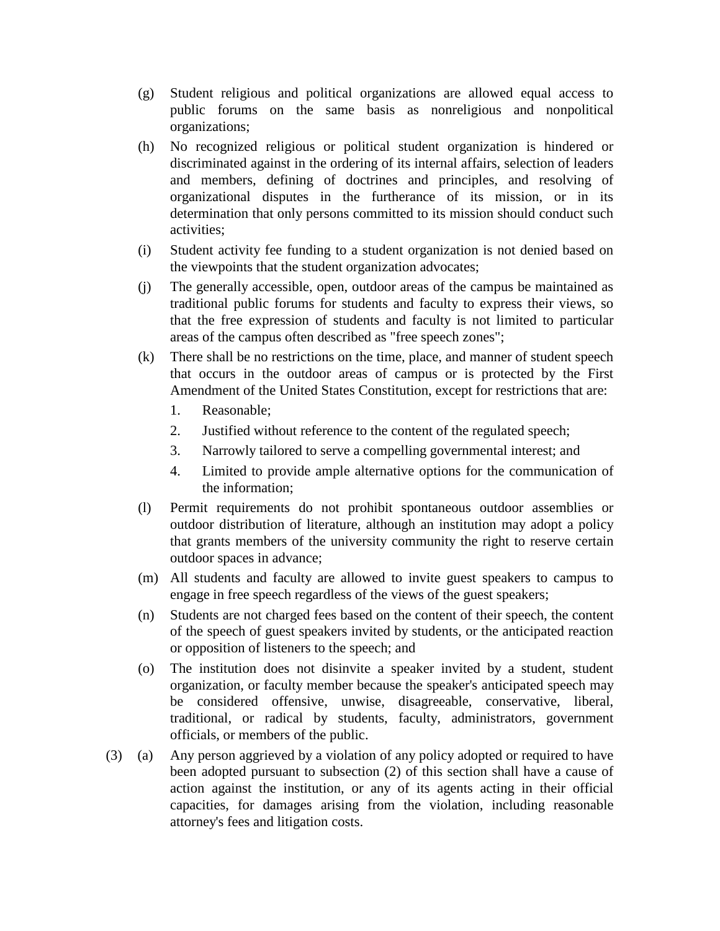- (g) Student religious and political organizations are allowed equal access to public forums on the same basis as nonreligious and nonpolitical organizations;
- (h) No recognized religious or political student organization is hindered or discriminated against in the ordering of its internal affairs, selection of leaders and members, defining of doctrines and principles, and resolving of organizational disputes in the furtherance of its mission, or in its determination that only persons committed to its mission should conduct such activities;
- (i) Student activity fee funding to a student organization is not denied based on the viewpoints that the student organization advocates;
- (j) The generally accessible, open, outdoor areas of the campus be maintained as traditional public forums for students and faculty to express their views, so that the free expression of students and faculty is not limited to particular areas of the campus often described as "free speech zones";
- (k) There shall be no restrictions on the time, place, and manner of student speech that occurs in the outdoor areas of campus or is protected by the First Amendment of the United States Constitution, except for restrictions that are:
	- 1. Reasonable;
	- 2. Justified without reference to the content of the regulated speech;
	- 3. Narrowly tailored to serve a compelling governmental interest; and
	- 4. Limited to provide ample alternative options for the communication of the information;
- (l) Permit requirements do not prohibit spontaneous outdoor assemblies or outdoor distribution of literature, although an institution may adopt a policy that grants members of the university community the right to reserve certain outdoor spaces in advance;
- (m) All students and faculty are allowed to invite guest speakers to campus to engage in free speech regardless of the views of the guest speakers;
- (n) Students are not charged fees based on the content of their speech, the content of the speech of guest speakers invited by students, or the anticipated reaction or opposition of listeners to the speech; and
- (o) The institution does not disinvite a speaker invited by a student, student organization, or faculty member because the speaker's anticipated speech may be considered offensive, unwise, disagreeable, conservative, liberal, traditional, or radical by students, faculty, administrators, government officials, or members of the public.
- (3) (a) Any person aggrieved by a violation of any policy adopted or required to have been adopted pursuant to subsection (2) of this section shall have a cause of action against the institution, or any of its agents acting in their official capacities, for damages arising from the violation, including reasonable attorney's fees and litigation costs.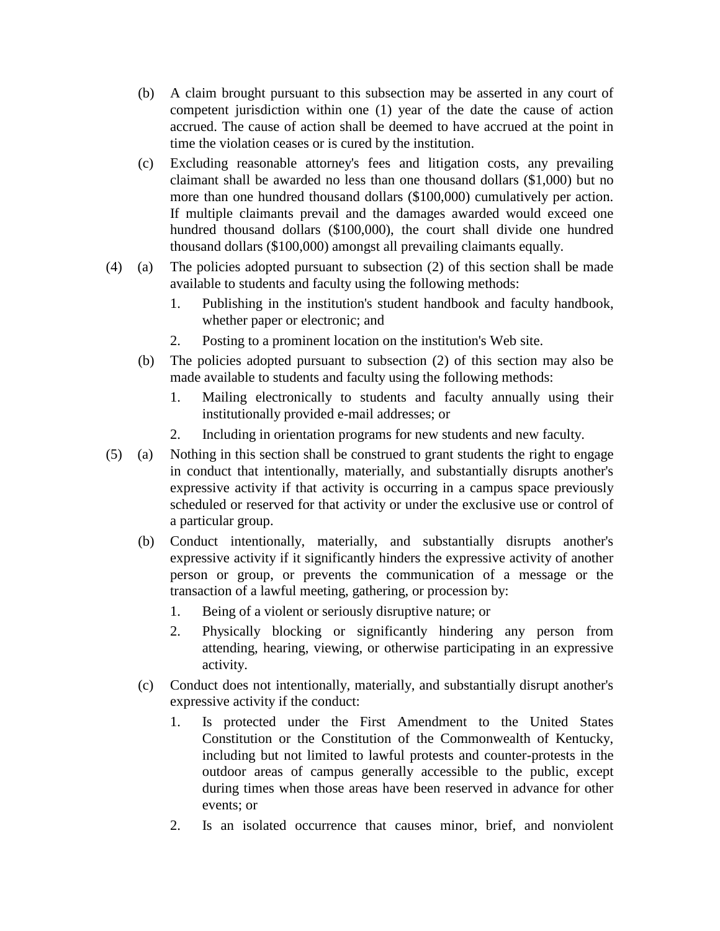- (b) A claim brought pursuant to this subsection may be asserted in any court of competent jurisdiction within one (1) year of the date the cause of action accrued. The cause of action shall be deemed to have accrued at the point in time the violation ceases or is cured by the institution.
- (c) Excluding reasonable attorney's fees and litigation costs, any prevailing claimant shall be awarded no less than one thousand dollars (\$1,000) but no more than one hundred thousand dollars (\$100,000) cumulatively per action. If multiple claimants prevail and the damages awarded would exceed one hundred thousand dollars (\$100,000), the court shall divide one hundred thousand dollars (\$100,000) amongst all prevailing claimants equally.
- (4) (a) The policies adopted pursuant to subsection (2) of this section shall be made available to students and faculty using the following methods:
	- 1. Publishing in the institution's student handbook and faculty handbook, whether paper or electronic; and
	- 2. Posting to a prominent location on the institution's Web site.
	- (b) The policies adopted pursuant to subsection (2) of this section may also be made available to students and faculty using the following methods:
		- 1. Mailing electronically to students and faculty annually using their institutionally provided e-mail addresses; or
		- 2. Including in orientation programs for new students and new faculty.
- (5) (a) Nothing in this section shall be construed to grant students the right to engage in conduct that intentionally, materially, and substantially disrupts another's expressive activity if that activity is occurring in a campus space previously scheduled or reserved for that activity or under the exclusive use or control of a particular group.
	- (b) Conduct intentionally, materially, and substantially disrupts another's expressive activity if it significantly hinders the expressive activity of another person or group, or prevents the communication of a message or the transaction of a lawful meeting, gathering, or procession by:
		- 1. Being of a violent or seriously disruptive nature; or
		- 2. Physically blocking or significantly hindering any person from attending, hearing, viewing, or otherwise participating in an expressive activity.
	- (c) Conduct does not intentionally, materially, and substantially disrupt another's expressive activity if the conduct:
		- 1. Is protected under the First Amendment to the United States Constitution or the Constitution of the Commonwealth of Kentucky, including but not limited to lawful protests and counter-protests in the outdoor areas of campus generally accessible to the public, except during times when those areas have been reserved in advance for other events; or
		- 2. Is an isolated occurrence that causes minor, brief, and nonviolent